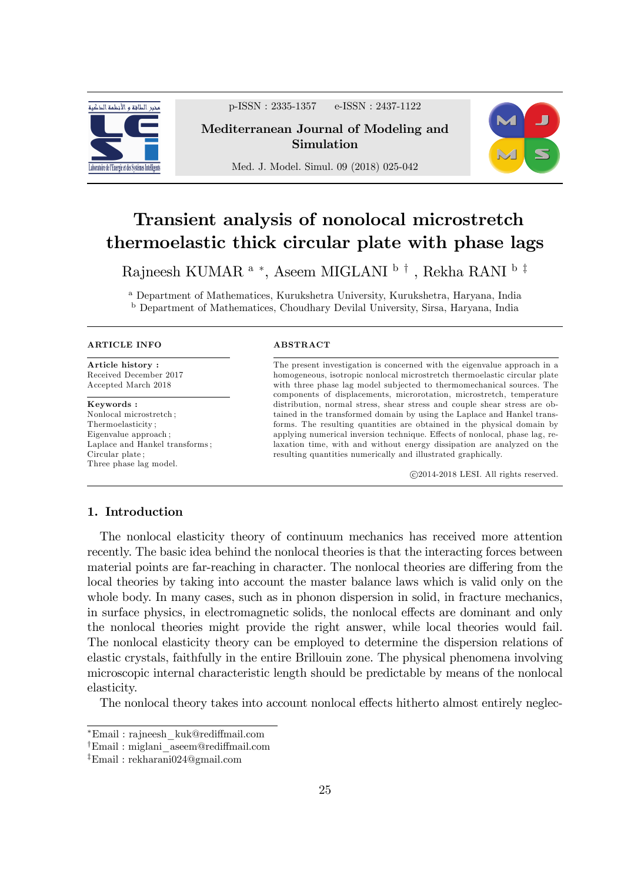

p-ISSN : 2335-1357 e-ISSN : 2437-1122

## Mediterranean Journal of Modeling and Simulation

Med. J. Model. Simul. 09 (2018) 025-042



# Transient analysis of nonolocal microstretch thermoelastic thick circular plate with phase lags

Rajneesh KUMAR $^{\rm a}$  \*, Aseem MIGLANI  $^{\rm b}$  <sup>†</sup> , Rekha RANI  $^{\rm b}$  <sup>‡</sup>

<sup>a</sup> Department of Mathematices, Kurukshetra University, Kurukshetra, Haryana, India <sup>b</sup> Department of Mathematices, Choudhary Devilal University, Sirsa, Haryana, India

#### ARTICLE INFO

Article history : Received December 2017 Accepted March 2018

Keywords : Nonlocal microstretch ; Thermoelasticity ; Eigenvalue approach ; Laplace and Hankel transforms ; Circular plate ; Three phase lag model.

#### **ABSTRACT**

The present investigation is concerned with the eigenvalue approach in a homogeneous, isotropic nonlocal microstretch thermoelastic circular plate with three phase lag model subjected to thermomechanical sources. The components of displacements, microrotation, microstretch, temperature distribution, normal stress, shear stress and couple shear stress are obtained in the transformed domain by using the Laplace and Hankel transforms. The resulting quantities are obtained in the physical domain by applying numerical inversion technique. Effects of nonlocal, phase lag, relaxation time, with and without energy dissipation are analyzed on the resulting quantities numerically and illustrated graphically.

c 2014-2018 LESI. All rights reserved.

## 1. Introduction

The nonlocal elasticity theory of continuum mechanics has received more attention recently. The basic idea behind the nonlocal theories is that the interacting forces between material points are far-reaching in character. The nonlocal theories are differing from the local theories by taking into account the master balance laws which is valid only on the whole body. In many cases, such as in phonon dispersion in solid, in fracture mechanics, in surface physics, in electromagnetic solids, the nonlocal effects are dominant and only the nonlocal theories might provide the right answer, while local theories would fail. The nonlocal elasticity theory can be employed to determine the dispersion relations of elastic crystals, faithfully in the entire Brillouin zone. The physical phenomena involving microscopic internal characteristic length should be predictable by means of the nonlocal elasticity.

The nonlocal theory takes into account nonlocal effects hitherto almost entirely neglec-

Email : rajneesh\_kuk@redi§mail.com

<sup>&</sup>lt;sup>†</sup>Email : miglani aseem@rediffmail.com

 $E$ mail: rekharani024@gmail.com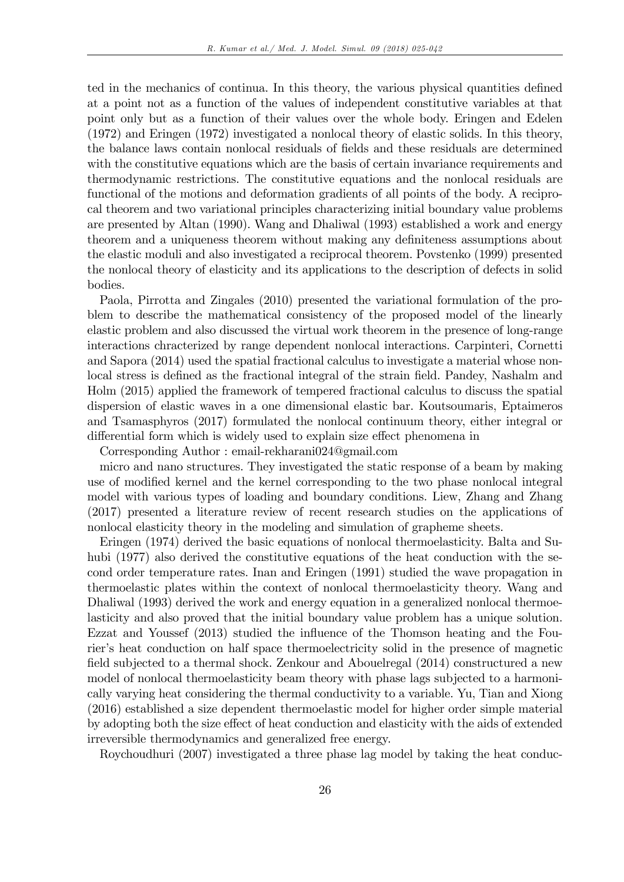ted in the mechanics of continua. In this theory, the various physical quantities defined at a point not as a function of the values of independent constitutive variables at that point only but as a function of their values over the whole body. Eringen and Edelen (1972) and Eringen (1972) investigated a nonlocal theory of elastic solids. In this theory, the balance laws contain nonlocal residuals of Öelds and these residuals are determined with the constitutive equations which are the basis of certain invariance requirements and thermodynamic restrictions. The constitutive equations and the nonlocal residuals are functional of the motions and deformation gradients of all points of the body. A reciprocal theorem and two variational principles characterizing initial boundary value problems are presented by Altan (1990). Wang and Dhaliwal (1993) established a work and energy theorem and a uniqueness theorem without making any definiteness assumptions about the elastic moduli and also investigated a reciprocal theorem. Povstenko (1999) presented the nonlocal theory of elasticity and its applications to the description of defects in solid bodies.

Paola, Pirrotta and Zingales (2010) presented the variational formulation of the problem to describe the mathematical consistency of the proposed model of the linearly elastic problem and also discussed the virtual work theorem in the presence of long-range interactions chracterized by range dependent nonlocal interactions. Carpinteri, Cornetti and Sapora (2014) used the spatial fractional calculus to investigate a material whose nonlocal stress is defined as the fractional integral of the strain field. Pandey, Nashalm and Holm (2015) applied the framework of tempered fractional calculus to discuss the spatial dispersion of elastic waves in a one dimensional elastic bar. Koutsoumaris, Eptaimeros and Tsamasphyros (2017) formulated the nonlocal continuum theory, either integral or differential form which is widely used to explain size effect phenomena in

Corresponding Author : email-rekharani024@gmail.com

micro and nano structures. They investigated the static response of a beam by making use of modified kernel and the kernel corresponding to the two phase nonlocal integral model with various types of loading and boundary conditions. Liew, Zhang and Zhang (2017) presented a literature review of recent research studies on the applications of nonlocal elasticity theory in the modeling and simulation of grapheme sheets.

Eringen (1974) derived the basic equations of nonlocal thermoelasticity. Balta and Suhubi (1977) also derived the constitutive equations of the heat conduction with the second order temperature rates. Inan and Eringen (1991) studied the wave propagation in thermoelastic plates within the context of nonlocal thermoelasticity theory. Wang and Dhaliwal (1993) derived the work and energy equation in a generalized nonlocal thermoelasticity and also proved that the initial boundary value problem has a unique solution. Ezzat and Youssef (2013) studied the influence of the Thomson heating and the Fourier's heat conduction on half space thermoelectricity solid in the presence of magnetic field subjected to a thermal shock. Zenkour and Abouelregal (2014) constructured a new model of nonlocal thermoelasticity beam theory with phase lags subjected to a harmonically varying heat considering the thermal conductivity to a variable. Yu, Tian and Xiong (2016) established a size dependent thermoelastic model for higher order simple material by adopting both the size effect of heat conduction and elasticity with the aids of extended irreversible thermodynamics and generalized free energy.

Roychoudhuri (2007) investigated a three phase lag model by taking the heat conduc-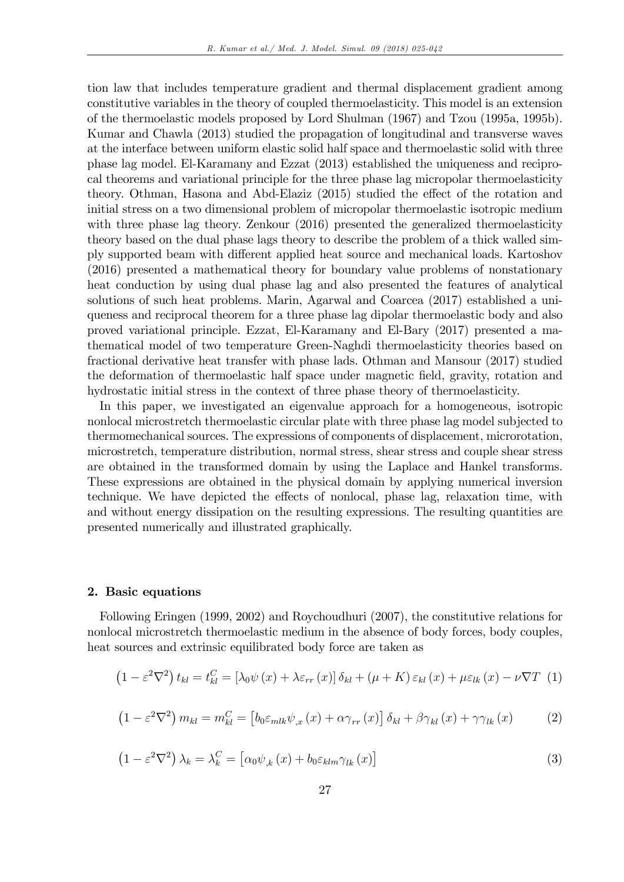tion law that includes temperature gradient and thermal displacement gradient among constitutive variables in the theory of coupled thermoelasticity. This model is an extension of the thermoelastic models proposed by Lord Shulman (1967) and Tzou (1995a, 1995b). Kumar and Chawla (2013) studied the propagation of longitudinal and transverse waves at the interface between uniform elastic solid half space and thermoelastic solid with three phase lag model. El-Karamany and Ezzat (2013) established the uniqueness and reciprocal theorems and variational principle for the three phase lag micropolar thermoelasticity theory. Othman, Hasona and Abd-Elaziz (2015) studied the effect of the rotation and initial stress on a two dimensional problem of micropolar thermoelastic isotropic medium with three phase lag theory. Zenkour (2016) presented the generalized thermoelasticity theory based on the dual phase lags theory to describe the problem of a thick walled simply supported beam with different applied heat source and mechanical loads. Kartoshov (2016) presented a mathematical theory for boundary value problems of nonstationary heat conduction by using dual phase lag and also presented the features of analytical solutions of such heat problems. Marin, Agarwal and Coarcea (2017) established a uniqueness and reciprocal theorem for a three phase lag dipolar thermoelastic body and also proved variational principle. Ezzat, El-Karamany and El-Bary (2017) presented a mathematical model of two temperature Green-Naghdi thermoelasticity theories based on fractional derivative heat transfer with phase lads. Othman and Mansour (2017) studied the deformation of thermoelastic half space under magnetic Öeld, gravity, rotation and hydrostatic initial stress in the context of three phase theory of thermoelasticity.

In this paper, we investigated an eigenvalue approach for a homogeneous, isotropic nonlocal microstretch thermoelastic circular plate with three phase lag model subjected to thermomechanical sources. The expressions of components of displacement, microrotation, microstretch, temperature distribution, normal stress, shear stress and couple shear stress are obtained in the transformed domain by using the Laplace and Hankel transforms. These expressions are obtained in the physical domain by applying numerical inversion technique. We have depicted the effects of nonlocal, phase lag, relaxation time, with and without energy dissipation on the resulting expressions. The resulting quantities are presented numerically and illustrated graphically.

#### 2. Basic equations

Following Eringen (1999, 2002) and Roychoudhuri (2007), the constitutive relations for nonlocal microstretch thermoelastic medium in the absence of body forces, body couples, heat sources and extrinsic equilibrated body force are taken as

$$
(1 - \varepsilon^2 \nabla^2) t_{kl} = t_{kl}^C = [\lambda_0 \psi(x) + \lambda \varepsilon_{rr}(x)] \delta_{kl} + (\mu + K) \varepsilon_{kl}(x) + \mu \varepsilon_{lk}(x) - \nu \nabla T
$$
 (1)

$$
\left(1 - \varepsilon^2 \nabla^2\right) m_{kl} = m_{kl}^C = \left[b_0 \varepsilon_{mlk} \psi_{,x}\left(x\right) + \alpha \gamma_{rr}\left(x\right)\right] \delta_{kl} + \beta \gamma_{kl}\left(x\right) + \gamma \gamma_{lk}\left(x\right) \tag{2}
$$

$$
\left(1 - \varepsilon^2 \nabla^2\right) \lambda_k = \lambda_k^C = \left[\alpha_0 \psi_{,k}\left(x\right) + b_0 \varepsilon_{klm} \gamma_{lk}\left(x\right)\right] \tag{3}
$$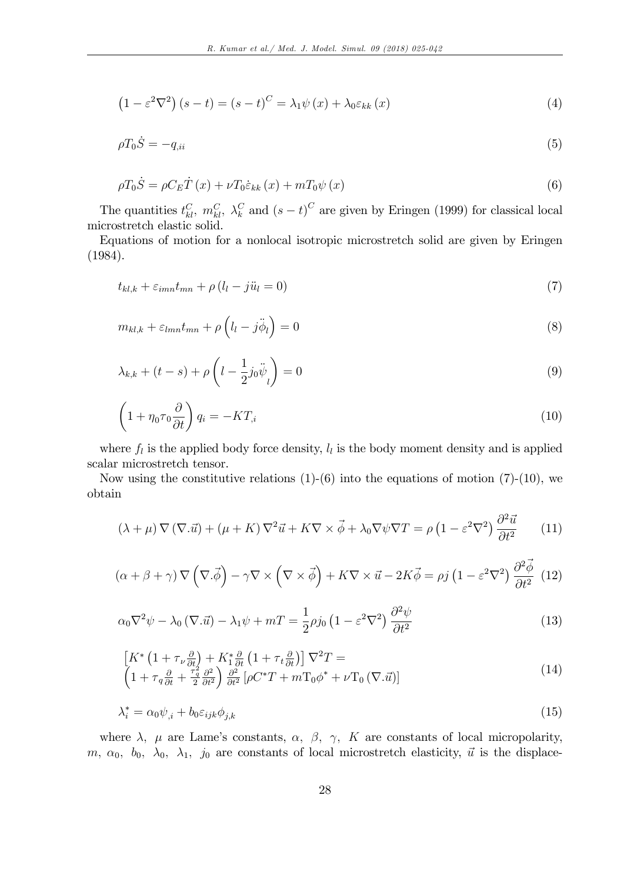$$
(1 - \varepsilon^2 \nabla^2) (s - t) = (s - t)^C = \lambda_1 \psi(x) + \lambda_0 \varepsilon_{kk}(x)
$$
\n(4)

$$
\rho T_0 \dot{S} = -q_{\mu i} \tag{5}
$$

$$
\rho T_0 \dot{S} = \rho C_E \dot{T}(x) + \nu T_0 \dot{\varepsilon}_{kk}(x) + m T_0 \psi(x)
$$
\n(6)

The quantities  $t_{kl}^C$ ,  $m_{kl}^C$ ,  $\lambda_k^C$  and  $(s-t)^C$  are given by Eringen (1999) for classical local microstretch elastic solid.

Equations of motion for a nonlocal isotropic microstretch solid are given by Eringen (1984).

$$
t_{kl,k} + \varepsilon_{imn} t_{mn} + \rho \left( l_l - j \ddot{u}_l = 0 \right) \tag{7}
$$

$$
m_{kl,k} + \varepsilon_{lmn} t_{mn} + \rho \left( l_l - j \ddot{\phi}_l \right) = 0 \tag{8}
$$

$$
\lambda_{k,k} + (t - s) + \rho \left( l - \frac{1}{2} j_0 \ddot{\psi}_l \right) = 0 \tag{9}
$$

$$
\left(1 + \eta_0 \tau_0 \frac{\partial}{\partial t}\right) q_i = -KT_{,i} \tag{10}
$$

where  $f_l$  is the applied body force density,  $l_l$  is the body moment density and is applied scalar microstretch tensor.

Now using the constitutive relations  $(1)-(6)$  into the equations of motion  $(7)-(10)$ , we obtain

$$
(\lambda + \mu) \nabla (\nabla \cdot \vec{u}) + (\mu + K) \nabla^2 \vec{u} + K \nabla \times \vec{\phi} + \lambda_0 \nabla \psi \nabla T = \rho \left( 1 - \varepsilon^2 \nabla^2 \right) \frac{\partial^2 \vec{u}}{\partial t^2}
$$
 (11)

$$
(\alpha + \beta + \gamma) \nabla \left( \nabla \cdot \vec{\phi} \right) - \gamma \nabla \times \left( \nabla \times \vec{\phi} \right) + K \nabla \times \vec{u} - 2K \vec{\phi} = \rho j \left( 1 - \varepsilon^2 \nabla^2 \right) \frac{\partial^2 \vec{\phi}}{\partial t^2} \tag{12}
$$

$$
\alpha_0 \nabla^2 \psi - \lambda_0 (\nabla \cdot \vec{u}) - \lambda_1 \psi + mT = \frac{1}{2} \rho j_0 \left( 1 - \varepsilon^2 \nabla^2 \right) \frac{\partial^2 \psi}{\partial t^2}
$$
(13)

$$
\begin{aligned}\n\left[K^*\left(1+\tau_{\nu}\frac{\partial}{\partial t}\right)+K_1^*\frac{\partial}{\partial t}\left(1+\tau_t\frac{\partial}{\partial t}\right)\right]\nabla^2 T &=\\
\left(1+\tau_q\frac{\partial}{\partial t}+\frac{\tau_q^2}{2}\frac{\partial^2}{\partial t^2}\right)\frac{\partial^2}{\partial t^2}\left[\rho C^*T+m\Gamma_0\phi^*+\nu\Gamma_0\left(\nabla.\vec{u}\right)\right]\n\end{aligned} \tag{14}
$$

$$
\lambda_i^* = \alpha_0 \psi_{,i} + b_0 \varepsilon_{ijk} \phi_{j,k} \tag{15}
$$

where  $\lambda$ ,  $\mu$  are Lame's constants,  $\alpha$ ,  $\beta$ ,  $\gamma$ , K are constants of local micropolarity, m,  $\alpha_0$ ,  $b_0$ ,  $\lambda_0$ ,  $\lambda_1$ ,  $j_0$  are constants of local microstretch elasticity,  $\vec{u}$  is the displace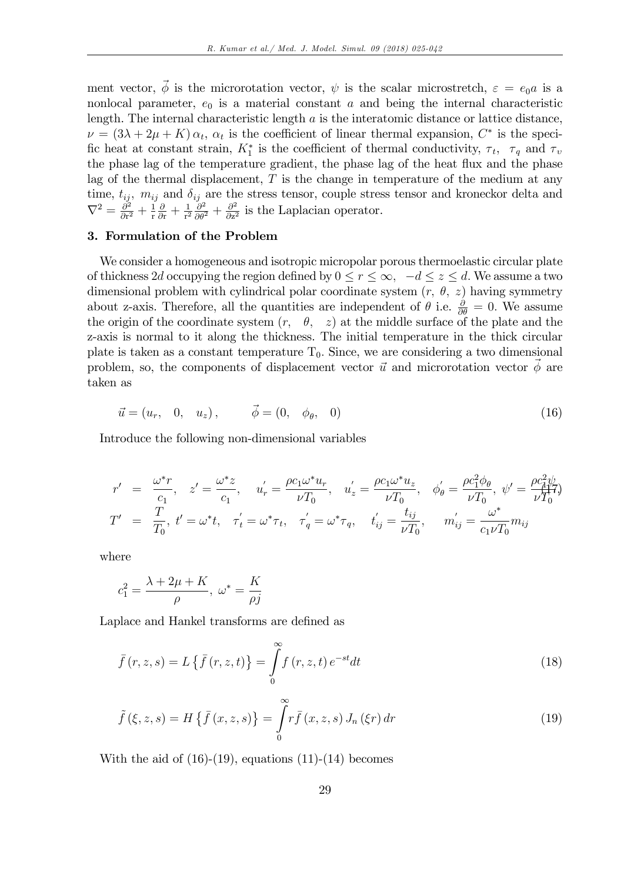ment vector,  $\vec{\phi}$  is the microrotation vector,  $\psi$  is the scalar microstretch,  $\varepsilon = e_0 a$  is a nonlocal parameter,  $e_0$  is a material constant a and being the internal characteristic length. The internal characteristic length  $a$  is the interatomic distance or lattice distance,  $\nu = (3\lambda + 2\mu + K)\alpha_t$ ,  $\alpha_t$  is the coefficient of linear thermal expansion,  $C^*$  is the specific heat at constant strain,  $K_1^*$  is the coefficient of thermal conductivity,  $\tau_t$ ,  $\tau_q$  and  $\tau_v$ the phase lag of the temperature gradient, the phase lag of the heat flux and the phase lag of the thermal displacement,  $T$  is the change in temperature of the medium at any time,  $t_{ij}$ ,  $m_{ij}$  and  $\delta_{ij}$  are the stress tensor, couple stress tensor and kroneckor delta and  $\nabla^2 = \frac{\partial^2}{\partial \mathbf{r}^2}$  $\frac{\partial^2}{\partial r^2} + \frac{1}{r}$ r  $\frac{\partial}{\partial \mathbf{r}} + \frac{1}{\mathbf{r}^2}$  $rac{1}{r^2} \frac{\partial^2}{\partial \theta^2} + \frac{\partial^2}{\partial z^2}$  $\frac{\partial^2}{\partial z^2}$  is the Laplacian operator.

## 3. Formulation of the Problem

We consider a homogeneous and isotropic micropolar porous thermoelastic circular plate of thickness 2d occupying the region defined by  $0 \le r \le \infty$ ,  $-d \le z \le d$ . We assume a two dimensional problem with cylindrical polar coordinate system  $(r, \theta, z)$  having symmetry about z-axis. Therefore, all the quantities are independent of  $\theta$  i.e.  $\frac{\partial}{\partial \theta} = 0$ . We assume the origin of the coordinate system  $(r, \theta, z)$  at the middle surface of the plate and the z-axis is normal to it along the thickness. The initial temperature in the thick circular plate is taken as a constant temperature  $T_0$ . Since, we are considering a two dimensional problem, so, the components of displacement vector  $\vec{u}$  and microrotation vector  $\phi$  are taken as

$$
\vec{u} = (u_r, 0, u_z), \qquad \vec{\phi} = (0, \phi_\theta, 0) \tag{16}
$$

Introduce the following non-dimensional variables

$$
r' = \frac{\omega^* r}{c_1}, \quad z' = \frac{\omega^* z}{c_1}, \quad u'_r = \frac{\rho c_1 \omega^* u_r}{\nu T_0}, \quad u'_z = \frac{\rho c_1 \omega^* u_z}{\nu T_0}, \quad \phi'_{\theta} = \frac{\rho c_1^2 \phi_{\theta}}{\nu T_0}, \quad \psi' = \frac{\rho c_1^2 \psi}{\nu T_0^2}
$$
  

$$
T' = \frac{T}{T_0}, \quad t' = \omega^* t, \quad \tau'_t = \omega^* \tau_t, \quad \tau'_q = \omega^* \tau_q, \quad t'_{ij} = \frac{t_{ij}}{\nu T_0}, \quad m'_{ij} = \frac{\omega^*}{c_1 \nu T_0} m_{ij}
$$

where

$$
c_1^2 = \frac{\lambda + 2\mu + K}{\rho}, \ \omega^* = \frac{K}{\rho j}
$$

Laplace and Hankel transforms are defined as

$$
\bar{f}(r,z,s) = L\left\{\bar{f}(r,z,t)\right\} = \int_{0}^{\infty} f(r,z,t) e^{-st} dt \qquad (18)
$$

$$
\tilde{f}(\xi, z, s) = H\left\{\bar{f}(x, z, s)\right\} = \int_{0}^{\infty} r\bar{f}(x, z, s) J_n(\xi r) dr \tag{19}
$$

With the aid of  $(16)-(19)$ , equations  $(11)-(14)$  becomes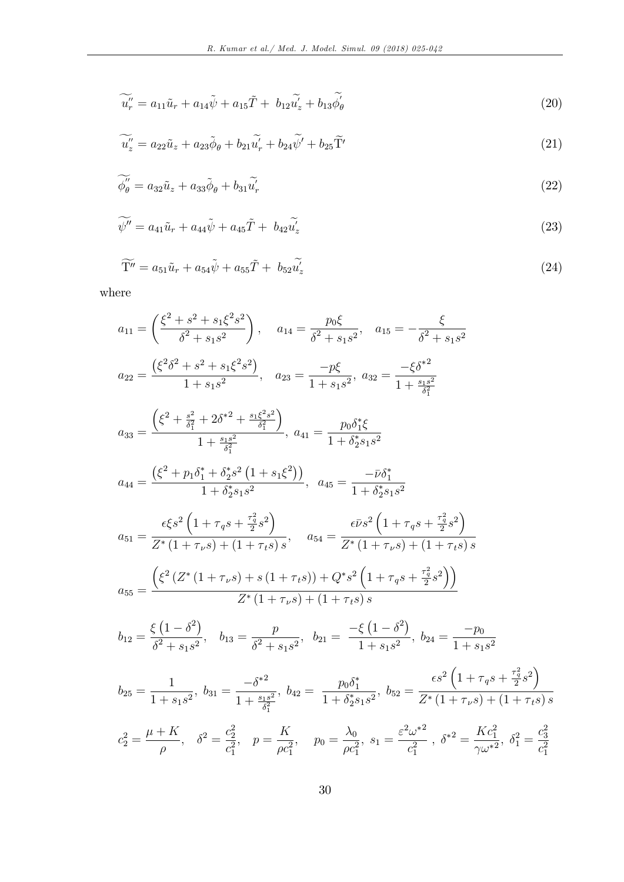$$
\widetilde{u''_r} = a_{11}\widetilde{u}_r + a_{14}\widetilde{\psi} + a_{15}\widetilde{T} + b_{12}\widetilde{u'_z} + b_{13}\widetilde{\phi'_\theta}
$$
\n(20)

$$
\widetilde{u''_z} = a_{22}\widetilde{u}_z + a_{23}\widetilde{\phi}_{\theta} + b_{21}\widetilde{u'_r} + b_{24}\widetilde{\psi'} + b_{25}\widetilde{\Gamma'}
$$
\n(21)

$$
\widetilde{\phi_{\theta}''} = a_{32}\widetilde{u}_z + a_{33}\widetilde{\phi}_{\theta} + b_{31}\widetilde{u'_r} \tag{22}
$$

$$
\widetilde{\psi''} = a_{41}\widetilde{u}_r + a_{44}\widetilde{\psi} + a_{45}\widetilde{T} + b_{42}\widetilde{u}_z' \tag{23}
$$

$$
\widetilde{\mathbf{T}''} = a_{51}\widetilde{u}_r + a_{54}\widetilde{\psi} + a_{55}\widetilde{T} + b_{52}\widetilde{u}_z' \tag{24}
$$

where

$$
a_{11} = \left(\frac{\xi^2 + s^2 + s_1\xi^2 s^2}{\delta^2 + s_1 s^2}\right), \quad a_{14} = \frac{p_0\xi}{\delta^2 + s_1 s^2}, \quad a_{15} = -\frac{\xi}{\delta^2 + s_1 s^2}
$$
\n
$$
a_{22} = \frac{\left(\xi^2 \delta^2 + s^2 + s_1\xi^2 s^2\right)}{1 + s_1 s^2}, \quad a_{23} = \frac{-p\xi}{1 + s_1 s^2}, \quad a_{32} = \frac{-\xi \delta^{*2}}{1 + \frac{s_1 s^2}{\delta_1^2}}
$$
\n
$$
a_{33} = \frac{\left(\xi^2 + \frac{s^2}{\delta_1^2} + 2\delta^{*2} + \frac{s_1\xi^2 s^2}{\delta_1^2}\right)}{1 + \frac{s_1 s^2}{\delta_1^2}}, \quad a_{41} = \frac{p_0 \delta_1^* \xi}{1 + \delta_2^* s_1 s^2}
$$
\n
$$
a_{44} = \frac{\left(\xi^2 + p_1 \delta_1^* + \delta_2^* s^2 \left(1 + s_1\xi^2\right)\right)}{1 + \delta_2^* s_1 s^2}, \quad a_{45} = \frac{-\overline{\nu} \delta_1^*}{1 + \delta_2^* s_1 s^2}
$$
\n
$$
a_{51} = \frac{\epsilon \xi s^2 \left(1 + \tau_q s + \frac{\tau_q^2}{2} s^2\right)}{Z^* \left(1 + \tau_\nu s\right) + \left(1 + \tau_t s\right)s}, \quad a_{54} = \frac{\epsilon \overline{\nu} s^2 \left(1 + \tau_q s + \frac{\tau_q^2}{2} s^2\right)}{Z^* \left(1 + \tau_\nu s\right) + \left(1 + \tau_t s\right)s}
$$
\n
$$
a_{55} = \frac{\left(\xi^2 \left(Z^* \left(1 + \tau_\nu s\right) + s \left(1 + \tau_t s\right)\right) + Q^* s^2 \left(1 + \tau_q s + \frac{\tau_q^2}{2} s^2\right)\right)}{Z^* \left(1 + \tau_\nu s\right) + \left(1 + \tau_t s\right)s}
$$
\n
$$
b_{12} = \frac{\xi \
$$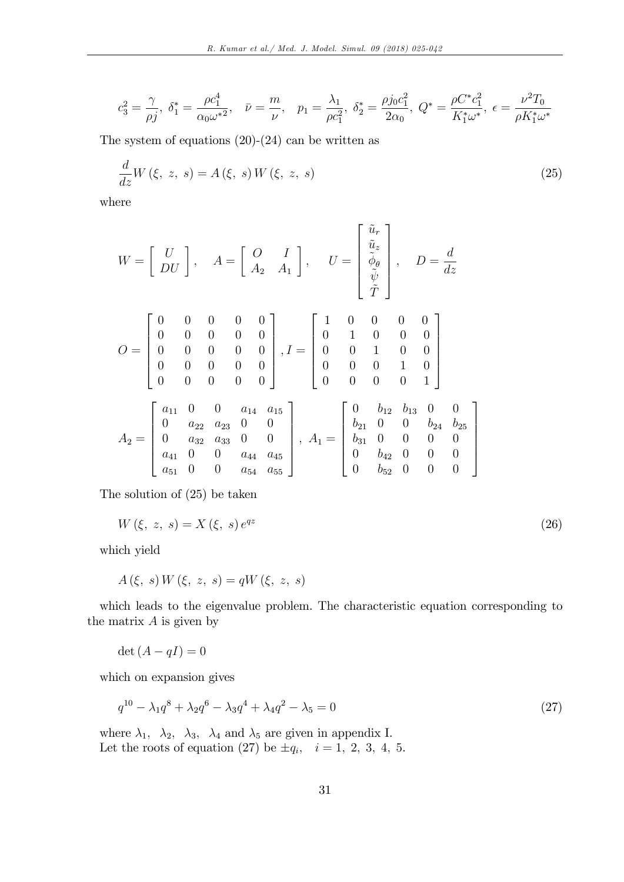$$
c_3^2 = \frac{\gamma}{\rho j}, \ \delta_1^* = \frac{\rho c_1^4}{\alpha_0 \omega^{*2}}, \quad \bar{\nu} = \frac{m}{\nu}, \quad p_1 = \frac{\lambda_1}{\rho c_1^2}, \ \delta_2^* = \frac{\rho j_0 c_1^2}{2\alpha_0}, \ Q^* = \frac{\rho C^* c_1^2}{K_1^* \omega^*}, \ \epsilon = \frac{\nu^2 T_0}{\rho K_1^* \omega^*}
$$

The system of equations  $(20)-(24)$  can be written as

$$
\frac{d}{dz}W(\xi, z, s) = A(\xi, s)W(\xi, z, s)
$$
\n(25)

where

$$
W = \begin{bmatrix} U \\ DU \end{bmatrix}, \quad A = \begin{bmatrix} 0 & I \\ A_2 & A_1 \end{bmatrix}, \quad U = \begin{bmatrix} \tilde{u}_r \\ \tilde{u}_z \\ \tilde{\psi} \\ \tilde{T} \end{bmatrix}, \quad D = \frac{d}{dz}
$$
  

$$
O = \begin{bmatrix} 0 & 0 & 0 & 0 & 0 \\ 0 & 0 & 0 & 0 & 0 \\ 0 & 0 & 0 & 0 & 0 \\ 0 & 0 & 0 & 0 & 0 \\ 0 & 0 & 0 & 0 & 0 \end{bmatrix}, I = \begin{bmatrix} 1 & 0 & 0 & 0 & 0 \\ 0 & 1 & 0 & 0 & 0 \\ 0 & 0 & 1 & 0 & 0 \\ 0 & 0 & 0 & 1 & 0 \\ 0 & 0 & 0 & 0 & 1 \end{bmatrix}
$$
  

$$
A_2 = \begin{bmatrix} a_{11} & 0 & 0 & a_{14} & a_{15} \\ 0 & a_{22} & a_{23} & 0 & 0 \\ 0 & a_{32} & a_{33} & 0 & 0 \\ a_{41} & 0 & 0 & a_{44} & a_{45} \\ a_{51} & 0 & 0 & a_{54} & a_{55} \end{bmatrix}, \quad A_1 = \begin{bmatrix} 0 & b_{12} & b_{13} & 0 & 0 \\ b_{21} & 0 & 0 & 0 & 0 \\ b_{31} & 0 & 0 & 0 & 0 \\ 0 & b_{42} & 0 & 0 & 0 \\ 0 & b_{52} & 0 & 0 & 0 \end{bmatrix}
$$

The solution of (25) be taken

$$
W(\xi, z, s) = X(\xi, s) e^{qz}
$$
\n
$$
(26)
$$

3

 $\overline{1}$  $\overline{1}$  $\overline{1}$  $\mathbf{1}$  $\overline{1}$ 

which yield

$$
A(\xi, s) W(\xi, z, s) = qW(\xi, z, s)
$$

which leads to the eigenvalue problem. The characteristic equation corresponding to the matrix  $A$  is given by

$$
\det\left(A - qI\right) = 0
$$

which on expansion gives

$$
q^{10} - \lambda_1 q^8 + \lambda_2 q^6 - \lambda_3 q^4 + \lambda_4 q^2 - \lambda_5 = 0 \tag{27}
$$

where  $\lambda_1$ ,  $\lambda_2$ ,  $\lambda_3$ ,  $\lambda_4$  and  $\lambda_5$  are given in appendix I. Let the roots of equation (27) be  $\pm q_i$ ,  $i = 1, 2, 3, 4, 5$ .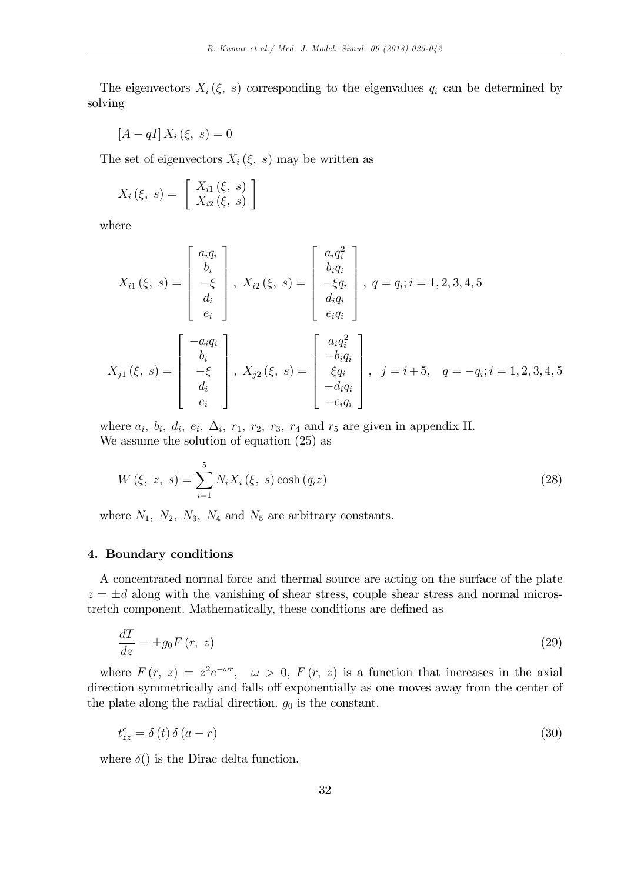The eigenvectors  $X_i(\xi, s)$  corresponding to the eigenvalues  $q_i$  can be determined by solving

$$
[A - qI] X_i (\xi, s) = 0
$$

The set of eigenvectors  $X_i \, (\xi, s)$  may be written as

$$
X_i(\xi, s) = \begin{bmatrix} X_{i1}(\xi, s) \\ X_{i2}(\xi, s) \end{bmatrix}
$$

where

$$
X_{i1}(\xi, s) = \begin{bmatrix} a_i q_i \\ b_i \\ -\xi \\ d_i \\ e_i \end{bmatrix}, X_{i2}(\xi, s) = \begin{bmatrix} a_i q_i^2 \\ b_i q_i \\ -\xi q_i \\ e_i q_i \end{bmatrix}, q = q_i; i = 1, 2, 3, 4, 5
$$

$$
X_{j1}(\xi, s) = \begin{bmatrix} -a_i q_i \\ b_i \\ -\xi \\ d_i \\ e_i \end{bmatrix}, X_{j2}(\xi, s) = \begin{bmatrix} a_i q_i^2 \\ -b_i q_i \\ \xi q_i \\ -\xi q_i \\ -\xi q_i \end{bmatrix}, j = i + 5, q = -q_i; i = 1, 2, 3, 4, 5
$$

where  $a_i$ ,  $b_i$ ,  $d_i$ ,  $e_i$ ,  $\Delta_i$ ,  $r_1$ ,  $r_2$ ,  $r_3$ ,  $r_4$  and  $r_5$  are given in appendix II. We assume the solution of equation (25) as

$$
W(\xi, z, s) = \sum_{i=1}^{5} N_i X_i(\xi, s) \cosh(q_i z)
$$
\n(28)

where  $N_1$ ,  $N_2$ ,  $N_3$ ,  $N_4$  and  $N_5$  are arbitrary constants.

#### 4. Boundary conditions

A concentrated normal force and thermal source are acting on the surface of the plate  $z = \pm d$  along with the vanishing of shear stress, couple shear stress and normal microstretch component. Mathematically, these conditions are defined as

$$
\frac{dT}{dz} = \pm g_0 F(r, z) \tag{29}
$$

where  $F(r, z) = z^2 e^{-\omega r}$ ,  $\omega > 0$ ,  $F(r, z)$  is a function that increases in the axial direction symmetrically and falls off exponentially as one moves away from the center of the plate along the radial direction.  $g_0$  is the constant.

$$
t_{zz}^c = \delta(t)\,\delta(a-r) \tag{30}
$$

where  $\delta()$  is the Dirac delta function.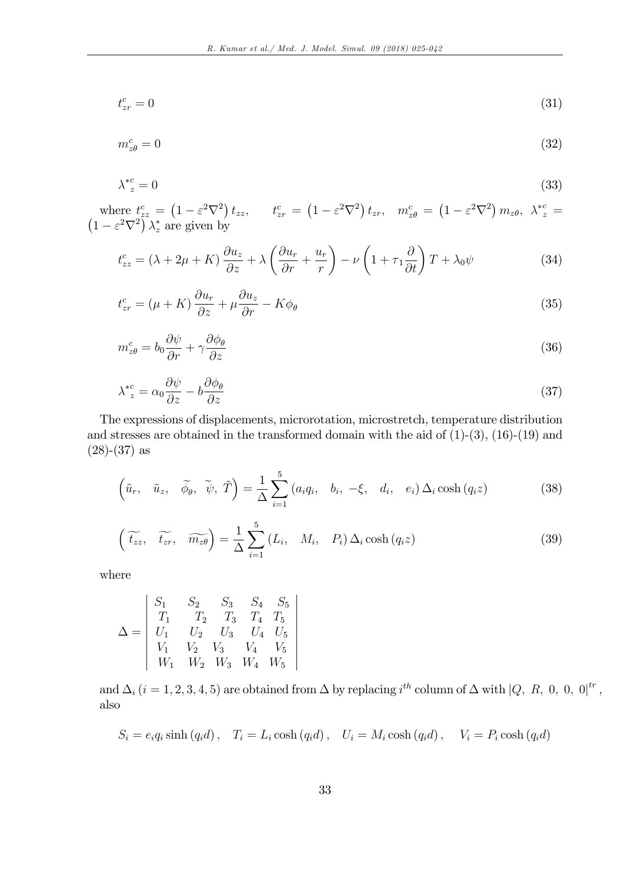$$
t_{zr}^c = 0 \tag{31}
$$

$$
m_{z\theta}^c = 0 \tag{32}
$$

$$
\lambda^*_{z} = 0 \tag{33}
$$

where  $t_{zz}^c = (1 - \varepsilon^2 \nabla^2) t_{zz}$ ,  $t_{zr}^c = (1 - \varepsilon^2 \nabla^2) t_{zr}$ ,  $m_{z\theta}^c = (1 - \varepsilon^2 \nabla^2) m_{z\theta}$ ,  $\lambda_{z}^{*c} = (1 - \varepsilon^2 \nabla^2) \lambda_{z}^{*}$  are given by

$$
t_{zz}^c = (\lambda + 2\mu + K) \frac{\partial u_z}{\partial z} + \lambda \left( \frac{\partial u_r}{\partial r} + \frac{u_r}{r} \right) - \nu \left( 1 + \tau_1 \frac{\partial}{\partial t} \right) T + \lambda_0 \psi \tag{34}
$$

$$
t_{zr}^c = (\mu + K) \frac{\partial u_r}{\partial z} + \mu \frac{\partial u_z}{\partial r} - K \phi_\theta \tag{35}
$$

$$
m_{z\theta}^{c} = b_0 \frac{\partial \psi}{\partial r} + \gamma \frac{\partial \phi_{\theta}}{\partial z}
$$
\n(36)

$$
\lambda^{*c}_{z} = \alpha_0 \frac{\partial \psi}{\partial z} - b \frac{\partial \phi_{\theta}}{\partial z} \tag{37}
$$

The expressions of displacements, microrotation, microstretch, temperature distribution and stresses are obtained in the transformed domain with the aid of  $(1)-(3)$ ,  $(16)-(19)$  and  $(28)-(37)$  as

$$
\left(\tilde{u}_r, \quad \tilde{u}_z, \quad \tilde{\phi}_\theta, \quad \tilde{\psi}, \quad \tilde{T}\right) = \frac{1}{\Delta} \sum_{i=1}^5 \left(a_i q_i, \quad b_i, \quad -\xi, \quad d_i, \quad e_i\right) \Delta_i \cosh\left(q_i z\right) \tag{38}
$$

$$
\left(\widetilde{t_{zz}}, \quad \widetilde{t_{zr}}, \quad \widetilde{m_{z\theta}}\right) = \frac{1}{\Delta} \sum_{i=1}^{5} \left(L_i, \quad M_i, \quad P_i\right) \Delta_i \cosh\left(q_i z\right) \tag{39}
$$

where

$$
\Delta = \begin{vmatrix} S_1 & S_2 & S_3 & S_4 & S_5 \ T_1 & T_2 & T_3 & T_4 & T_5 \ U_1 & U_2 & U_3 & U_4 & U_5 \ V_1 & V_2 & V_3 & V_4 & V_5 \ W_1 & W_2 & W_3 & W_4 & W_5 \end{vmatrix}
$$

and  $\Delta_i$   $(i = 1, 2, 3, 4, 5)$  are obtained from  $\Delta$  by replacing  $i^{th}$  column of  $\Delta$  with  $|Q, R, 0, 0, 0|^{tr}$ , also

$$
S_i = e_i q_i \sinh (q_i d), \quad T_i = L_i \cosh (q_i d), \quad U_i = M_i \cosh (q_i d), \quad V_i = P_i \cosh (q_i d)
$$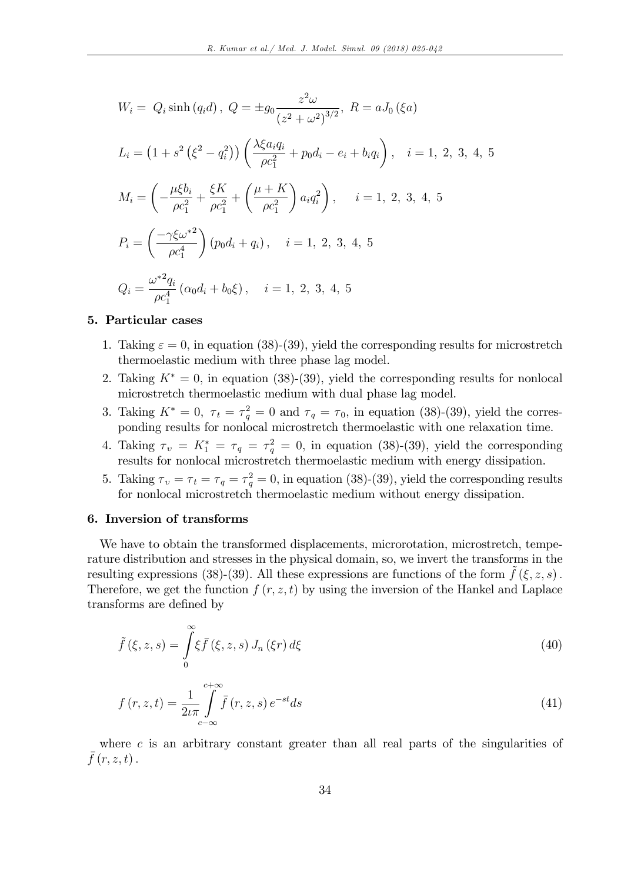$$
W_i = Q_i \sinh(q_i d), \ Q = \pm g_0 \frac{z^2 \omega}{(z^2 + \omega^2)^{3/2}}, \ R = aJ_0 \ (\xi a)
$$
  
\n
$$
L_i = \left(1 + s^2 \left(\xi^2 - q_i^2\right)\right) \left(\frac{\lambda \xi a_i q_i}{\rho c_1^2} + p_0 d_i - e_i + b_i q_i\right), \quad i = 1, 2, 3, 4, 5
$$
  
\n
$$
M_i = \left(-\frac{\mu \xi b_i}{\rho c_1^2} + \frac{\xi K}{\rho c_1^2} + \left(\frac{\mu + K}{\rho c_1^2}\right) a_i q_i^2\right), \quad i = 1, 2, 3, 4, 5
$$
  
\n
$$
P_i = \left(\frac{-\gamma \xi \omega^{*2}}{\rho c_1^4}\right) (p_0 d_i + q_i), \quad i = 1, 2, 3, 4, 5
$$
  
\n
$$
Q_i = \frac{\omega^{*2} q_i}{\rho c_1^4} (\alpha_0 d_i + b_0 \xi), \quad i = 1, 2, 3, 4, 5
$$

#### 5. Particular cases

- 1. Taking  $\varepsilon = 0$ , in equation (38)-(39), yield the corresponding results for microstretch thermoelastic medium with three phase lag model.
- 2. Taking  $K^* = 0$ , in equation (38)-(39), yield the corresponding results for nonlocal microstretch thermoelastic medium with dual phase lag model.
- 3. Taking  $K^* = 0$ ,  $\tau_t = \tau_q^2 = 0$  and  $\tau_q = \tau_0$ , in equation (38)-(39), yield the corresponding results for nonlocal microstretch thermoelastic with one relaxation time.
- 4. Taking  $\tau_v = K_1^* = \tau_q = \tau_q^2 = 0$ , in equation (38)-(39), yield the corresponding results for nonlocal microstretch thermoelastic medium with energy dissipation.
- 5. Taking  $\tau_v = \tau_t = \tau_q = \tau_q^2 = 0$ , in equation (38)-(39), yield the corresponding results for nonlocal microstretch thermoelastic medium without energy dissipation.

#### 6. Inversion of transforms

We have to obtain the transformed displacements, microrotation, microstretch, temperature distribution and stresses in the physical domain, so, we invert the transforms in the resulting expressions (38)-(39). All these expressions are functions of the form  $\hat{f}(\xi, z, s)$ . Therefore, we get the function  $f(r, z, t)$  by using the inversion of the Hankel and Laplace transforms are defined by

$$
\tilde{f}(\xi, z, s) = \int_{0}^{\infty} \xi \bar{f}(\xi, z, s) J_n(\xi r) d\xi
$$
\n(40)

$$
f(r, z, t) = \frac{1}{2\iota\pi} \int_{c-\infty}^{c+\infty} \bar{f}(r, z, s) e^{-st} ds
$$
\n(41)

where  $c$  is an arbitrary constant greater than all real parts of the singularities of  $\bar{f}(r, z, t)$ .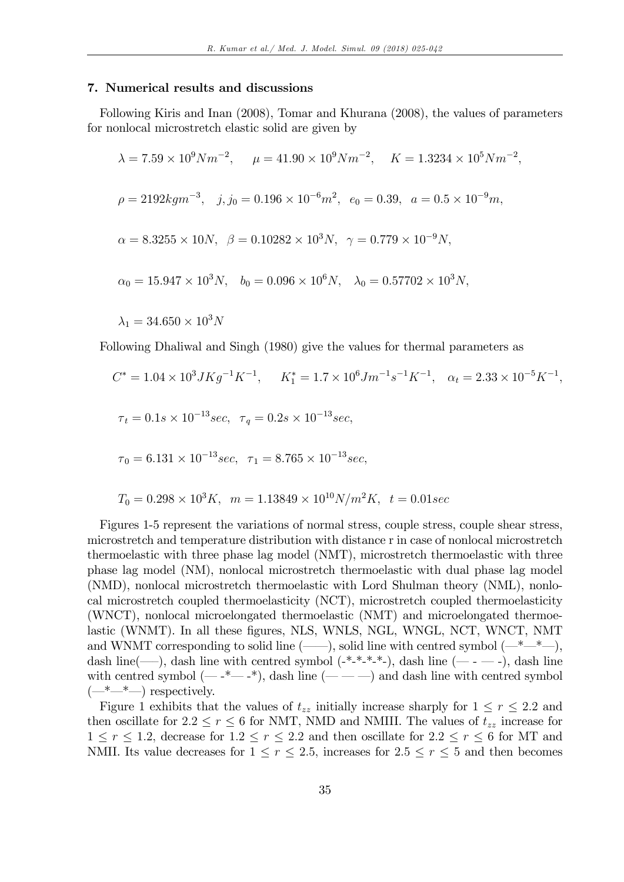#### 7. Numerical results and discussions

Following Kiris and Inan (2008), Tomar and Khurana (2008), the values of parameters for nonlocal microstretch elastic solid are given by

$$
\lambda = 7.59 \times 10^9 N m^{-2}, \quad \mu = 41.90 \times 10^9 N m^{-2}, \quad K = 1.3234 \times 10^5 N m^{-2},
$$
  
\n
$$
\rho = 2192 kg m^{-3}, \quad j, j_0 = 0.196 \times 10^{-6} m^2, \quad e_0 = 0.39, \quad a = 0.5 \times 10^{-9} m,
$$
  
\n
$$
\alpha = 8.3255 \times 10 N, \quad \beta = 0.10282 \times 10^3 N, \quad \gamma = 0.779 \times 10^{-9} N,
$$
  
\n
$$
\alpha_0 = 15.947 \times 10^3 N, \quad b_0 = 0.096 \times 10^6 N, \quad \lambda_0 = 0.57702 \times 10^3 N,
$$
  
\n
$$
\lambda_1 = 34.650 \times 10^3 N
$$

Following Dhaliwal and Singh (1980) give the values for thermal parameters as

$$
C^* = 1.04 \times 10^3 J K g^{-1} K^{-1}, \quad K_1^* = 1.7 \times 10^6 J m^{-1} s^{-1} K^{-1}, \quad \alpha_t = 2.33 \times 10^{-5} K^{-1},
$$
  
\n
$$
\tau_t = 0.1 s \times 10^{-13} sec, \quad \tau_q = 0.2 s \times 10^{-13} sec,
$$
  
\n
$$
\tau_0 = 6.131 \times 10^{-13} sec, \quad \tau_1 = 8.765 \times 10^{-13} sec,
$$
  
\n
$$
T = 0.298 \times 10^3 K, \quad m = 1.13840 \times 10^{10} N/m^2 K, \quad t = 0.01666
$$

$$
T_0 = 0.298 \times 10^3 K, \ \ m = 1.13849 \times 10^{10} N/m^2 K, \ \ t = 0.01 sec
$$

Figures 1-5 represent the variations of normal stress, couple stress, couple shear stress, microstretch and temperature distribution with distance r in case of nonlocal microstretch thermoelastic with three phase lag model (NMT), microstretch thermoelastic with three phase lag model (NM), nonlocal microstretch thermoelastic with dual phase lag model (NMD), nonlocal microstretch thermoelastic with Lord Shulman theory (NML), nonlocal microstretch coupled thermoelasticity (NCT), microstretch coupled thermoelasticity (WNCT), nonlocal microelongated thermoelastic (NMT) and microelongated thermoelastic (WNMT). In all these figures, NLS, WNLS, NGL, WNGL, NCT, WNCT, NMT and WNMT corresponding to solid line  $(\_\_\_\)$ , solid line with centred symbol  $(\_\_\_\_\_$ , dash line(--), dash line with centred symbol  $(*-*-**)$ , dash line  $(- - -)$ , dash line with centred symbol  $(- -<sup>*</sup> - <sup>*</sup>)$ , dash line  $(- - -)$  and dash line with centred symbol  $(\underline{\hspace{1cm}}^{*}\underline{\hspace{1cm}}^{*}\underline{\hspace{1cm}})$  respectively.

Figure 1 exhibits that the values of  $t_{zz}$  initially increase sharply for  $1 \le r \le 2.2$  and then oscillate for  $2.2 \le r \le 6$  for NMT, NMD and NMIII. The values of  $t_{zz}$  increase for  $1\leq r\leq 1.2,$  decrease for  $1.2\leq r\leq 2.2$  and then oscillate for  $2.2\leq r\leq 6$  for MT and NMII. Its value decreases for  $1 \le r \le 2.5$ , increases for  $2.5 \le r \le 5$  and then becomes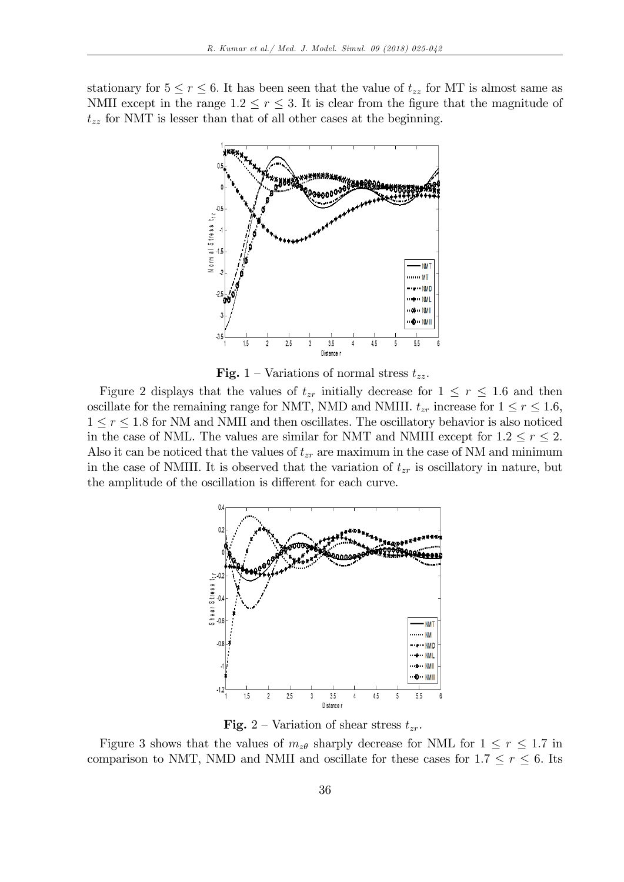stationary for  $5 \le r \le 6$ . It has been seen that the value of  $t_{zz}$  for MT is almost same as NMII except in the range  $1.2 \le r \le 3$ . It is clear from the figure that the magnitude of  $t_{zz}$  for NMT is lesser than that of all other cases at the beginning.



**Fig.** 1 – Variations of normal stress  $t_{zz}$ .

Figure 2 displays that the values of  $t_{zr}$  initially decrease for  $1 \leq r \leq 1.6$  and then oscillate for the remaining range for NMT, NMD and NMIII.  $t_{zr}$  increase for  $1 \le r \le 1.6$ ,  $1 < r < 1.8$  for NM and NMII and then oscillates. The oscillatory behavior is also noticed in the case of NML. The values are similar for NMT and NMIII except for  $1.2 \le r \le 2$ . Also it can be noticed that the values of  $t_{zr}$  are maximum in the case of NM and minimum in the case of NMIII. It is observed that the variation of  $t_{zr}$  is oscillatory in nature, but the amplitude of the oscillation is different for each curve.



**Fig.** 2 – Variation of shear stress  $t_{zr}$ .

Figure 3 shows that the values of  $m_{z\theta}$  sharply decrease for NML for  $1 \le r \le 1.7$  in comparison to NMT, NMD and NMII and oscillate for these cases for  $1.7 \le r \le 6$ . Its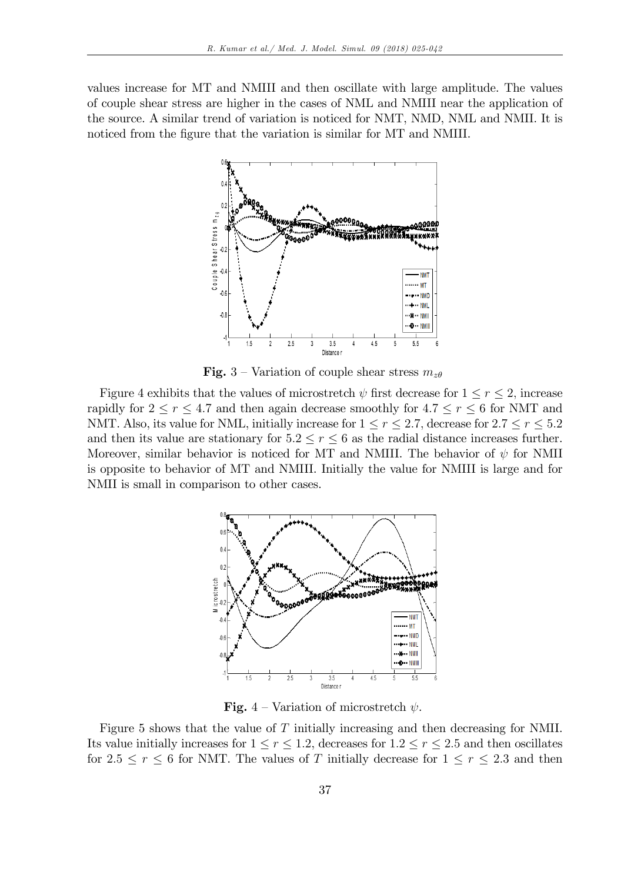values increase for MT and NMIII and then oscillate with large amplitude. The values of couple shear stress are higher in the cases of NML and NMIII near the application of the source. A similar trend of variation is noticed for NMT, NMD, NML and NMII. It is noticed from the figure that the variation is similar for MT and NMIII.



**Fig.** 3 – Variation of couple shear stress  $m_{z\theta}$ 

Figure 4 exhibits that the values of microstretch  $\psi$  first decrease for  $1 \le r \le 2$ , increase rapidly for  $2 \le r \le 4.7$  and then again decrease smoothly for  $4.7 \le r \le 6$  for NMT and NMT. Also, its value for NML, initially increase for  $1 \le r \le 2.7$ , decrease for  $2.7 \le r \le 5.2$ and then its value are stationary for  $5.2 \le r \le 6$  as the radial distance increases further. Moreover, similar behavior is noticed for MT and NMIII. The behavior of  $\psi$  for NMII is opposite to behavior of MT and NMIII. Initially the value for NMIII is large and for NMII is small in comparison to other cases.



**Fig.** 4 – Variation of microstretch  $\psi$ .

Figure 5 shows that the value of T initially increasing and then decreasing for NMII. Its value initially increases for  $1 \le r \le 1.2$ , decreases for  $1.2 \le r \le 2.5$  and then oscillates for  $2.5 \le r \le 6$  for NMT. The values of T initially decrease for  $1 \le r \le 2.3$  and then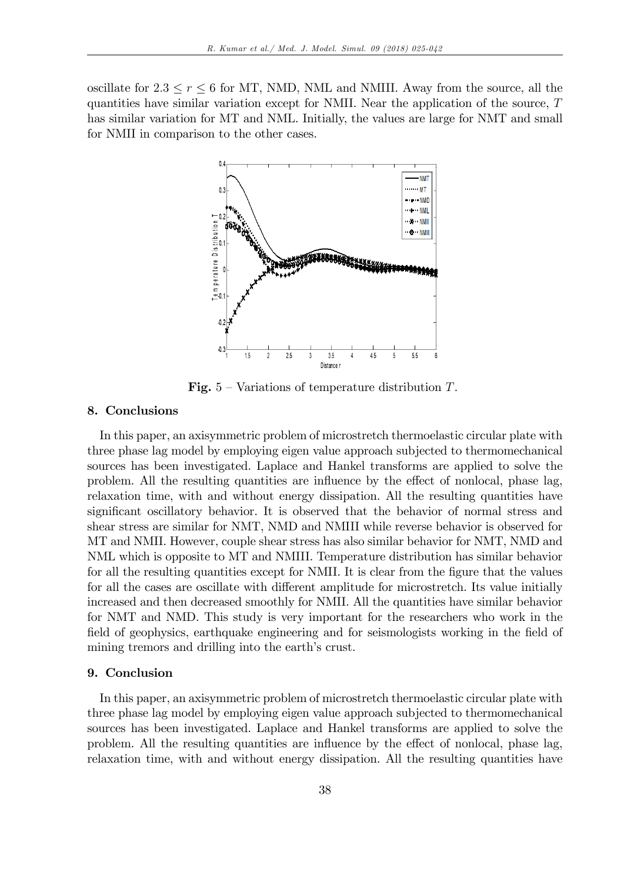oscillate for  $2.3 \le r \le 6$  for MT, NMD, NML and NMIII. Away from the source, all the quantities have similar variation except for NMII. Near the application of the source,  $T$ has similar variation for MT and NML. Initially, the values are large for NMT and small for NMII in comparison to the other cases.



**Fig.**  $5$  – Variations of temperature distribution T.

### 8. Conclusions

In this paper, an axisymmetric problem of microstretch thermoelastic circular plate with three phase lag model by employing eigen value approach subjected to thermomechanical sources has been investigated. Laplace and Hankel transforms are applied to solve the problem. All the resulting quantities are influence by the effect of nonlocal, phase lag, relaxation time, with and without energy dissipation. All the resulting quantities have significant oscillatory behavior. It is observed that the behavior of normal stress and shear stress are similar for NMT, NMD and NMIII while reverse behavior is observed for MT and NMII. However, couple shear stress has also similar behavior for NMT, NMD and NML which is opposite to MT and NMIII. Temperature distribution has similar behavior for all the resulting quantities except for NMII. It is clear from the figure that the values for all the cases are oscillate with different amplitude for microstretch. Its value initially increased and then decreased smoothly for NMII. All the quantities have similar behavior for NMT and NMD. This study is very important for the researchers who work in the field of geophysics, earthquake engineering and for seismologists working in the field of mining tremors and drilling into the earth's crust.

#### 9. Conclusion

In this paper, an axisymmetric problem of microstretch thermoelastic circular plate with three phase lag model by employing eigen value approach subjected to thermomechanical sources has been investigated. Laplace and Hankel transforms are applied to solve the problem. All the resulting quantities are influence by the effect of nonlocal, phase lag, relaxation time, with and without energy dissipation. All the resulting quantities have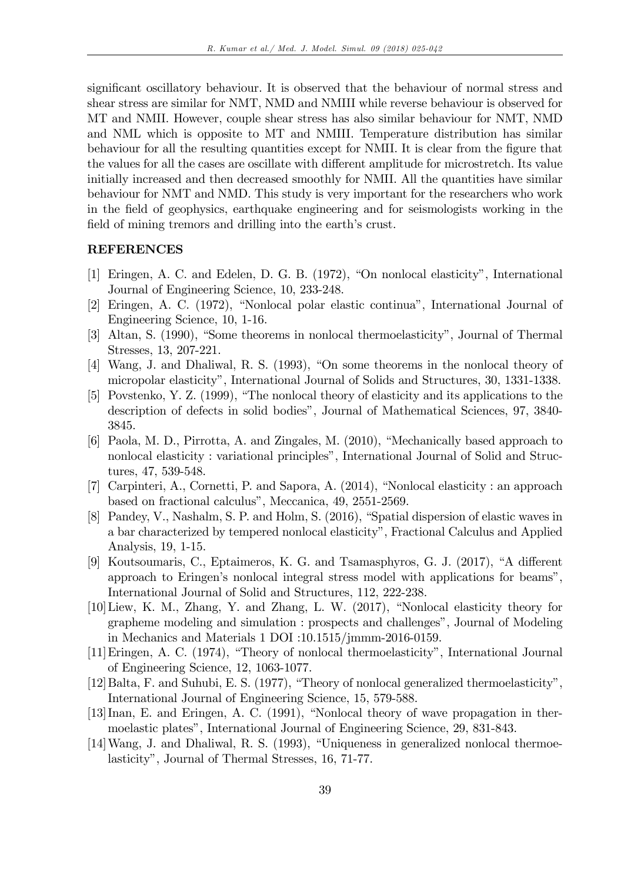significant oscillatory behaviour. It is observed that the behaviour of normal stress and shear stress are similar for NMT, NMD and NMIII while reverse behaviour is observed for MT and NMII. However, couple shear stress has also similar behaviour for NMT, NMD and NML which is opposite to MT and NMIII. Temperature distribution has similar behaviour for all the resulting quantities except for NMII. It is clear from the figure that the values for all the cases are oscillate with different amplitude for microstretch. Its value initially increased and then decreased smoothly for NMII. All the quantities have similar behaviour for NMT and NMD. This study is very important for the researchers who work in the Öeld of geophysics, earthquake engineering and for seismologists working in the field of mining tremors and drilling into the earth's crust.

## REFERENCES

- [1] Eringen, A. C. and Edelen, D. G. B. (1972), "On nonlocal elasticity", International Journal of Engineering Science, 10, 233-248.
- [2] Eringen, A. C. (1972), "Nonlocal polar elastic continua", International Journal of Engineering Science, 10, 1-16.
- [3] Altan, S. (1990), "Some theorems in nonlocal thermoelasticity", Journal of Thermal Stresses, 13, 207-221.
- $[4]$  Wang, J. and Dhaliwal, R. S.  $(1993)$ , "On some theorems in the nonlocal theory of micropolar elasticityî, International Journal of Solids and Structures, 30, 1331-1338.
- $[5]$  Povstenko, Y. Z.  $(1999)$ , "The nonlocal theory of elasticity and its applications to the description of defects in solid bodies", Journal of Mathematical Sciences, 97, 3840-3845.
- [6] Paola, M. D., Pirrotta, A. and Zingales, M. (2010), "Mechanically based approach to nonlocal elasticity : variational principles", International Journal of Solid and Structures, 47, 539-548.
- [7] Carpinteri, A., Cornetti, P. and Sapora, A. (2014), "Nonlocal elasticity : an approach based on fractional calculus", Meccanica, 49, 2551-2569.
- [8] Pandey, V., Nashalm, S. P. and Holm, S. (2016), "Spatial dispersion of elastic waves in a bar characterized by tempered nonlocal elasticityî, Fractional Calculus and Applied Analysis, 19, 1-15.
- [9] Koutsoumaris, C., Eptaimeros, K. G. and Tsamasphyros, G. J.  $(2017)$ , "A different approach to Eringen's nonlocal integral stress model with applications for beams", International Journal of Solid and Structures, 112, 222-238.
- $[10]$ Liew, K. M., Zhang, Y. and Zhang, L. W.  $(2017)$ , "Nonlocal elasticity theory for grapheme modeling and simulation : prospects and challengesî, Journal of Modeling in Mechanics and Materials 1 DOI :10.1515/jmmm-2016-0159.
- [11] Eringen, A. C. (1974), "Theory of nonlocal thermoelasticity", International Journal of Engineering Science, 12, 1063-1077.
- $[12]$ Balta, F. and Suhubi, E. S.  $(1977)$ , "Theory of nonlocal generalized thermoelasticity", International Journal of Engineering Science, 15, 579-588.
- $[13]$ Inan, E. and Eringen, A. C.  $(1991)$ , "Nonlocal theory of wave propagation in thermoelastic platesî, International Journal of Engineering Science, 29, 831-843.
- $[14]$ Wang, J. and Dhaliwal, R. S.  $(1993)$ , "Uniqueness in generalized nonlocal thermoelasticity", Journal of Thermal Stresses, 16, 71-77.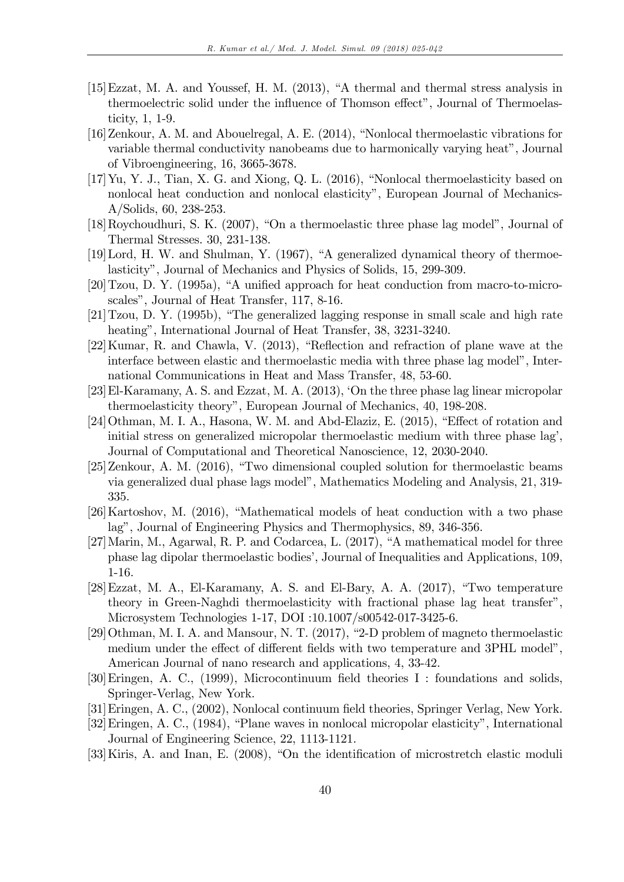- $[15]$  Ezzat, M. A. and Youssef, H. M.  $(2013)$ , "A thermal and thermal stress analysis in thermoelectric solid under the influence of Thomson effect", Journal of Thermoelasticity,  $1, 1-9.$
- [16] Zenkour, A. M. and Abouelregal, A. E. (2014), "Nonlocal thermoelastic vibrations for variable thermal conductivity nanobeams due to harmonically varying heat", Journal of Vibroengineering, 16, 3665-3678.
- $[17]$  Yu, Y. J., Tian, X. G. and Xiong, Q. L.  $(2016)$ , "Nonlocal thermoelasticity based on nonlocal heat conduction and nonlocal elasticity", European Journal of Mechanics- $A/Solids, 60, 238-253.$
- [18] Roychoudhuri, S. K. (2007), "On a thermoelastic three phase lag model", Journal of Thermal Stresses. 30, 231-138.
- [19] Lord, H. W. and Shulman, Y. (1967), "A generalized dynamical theory of thermoelasticity", Journal of Mechanics and Physics of Solids, 15, 299-309.
- $[20]$  Tzou, D. Y.  $(1995a)$ , "A unified approach for heat conduction from macro-to-microscales", Journal of Heat Transfer, 117, 8-16.
- $[21]$  Tzou, D. Y. (1995b), "The generalized lagging response in small scale and high rate heating", International Journal of Heat Transfer, 38, 3231-3240.
- [22] Kumar, R. and Chawla, V. (2013), "Reflection and refraction of plane wave at the interface between elastic and thermoelastic media with three phase lag model", International Communications in Heat and Mass Transfer, 48, 53-60.
- [23] El-Karamany, A. S. and Ezzat, M. A.  $(2013)$ , 'On the three phase lag linear micropolar thermoelasticity theory", European Journal of Mechanics, 40, 198-208.
- [24] Othman, M. I. A., Hasona, W. M. and Abd-Elaziz, E. (2015), "Effect of rotation and initial stress on generalized micropolar thermoelastic medium with three phase lag'. Journal of Computational and Theoretical Nanoscience, 12, 2030-2040.
- [25] Zenkour, A. M. (2016), "Two dimensional coupled solution for thermoelastic beams via generalized dual phase lags model", Mathematics Modeling and Analysis, 21, 319-335.
- [26] Kartoshov, M. (2016), "Mathematical models of heat conduction with a two phase lag", Journal of Engineering Physics and Thermophysics, 89, 346-356.
- [27] Marin, M., Agarwal, R. P. and Codarcea, L. (2017), "A mathematical model for three phase lag dipolar thermoelastic bodies', Journal of Inequalities and Applications, 109,  $1-16.$
- [28] Ezzat, M. A., El-Karamany, A. S. and El-Bary, A. A.  $(2017)$ , "Two temperature theory in Green-Naghdi thermoelasticity with fractional phase lag heat transfer", Microsystem Technologies 1-17, DOI :10.1007/s00542-017-3425-6.
- [29] Othman, M. I. A. and Mansour, N. T. (2017), "2-D problem of magneto thermoelastic medium under the effect of different fields with two temperature and 3PHL model". American Journal of nano research and applications, 4, 33-42.
- [30] Eringen, A. C., (1999), Microcontinuum field theories I : foundations and solids, Springer-Verlag, New York.
- [31] Eringen, A. C., (2002), Nonlocal continuum field theories, Springer Verlag, New York.
- [32] Eringen, A. C., (1984), "Plane waves in nonlocal micropolar elasticity", International Journal of Engineering Science, 22, 1113-1121.
- [33] Kiris, A. and Inan, E. (2008), "On the identification of microstretch elastic moduli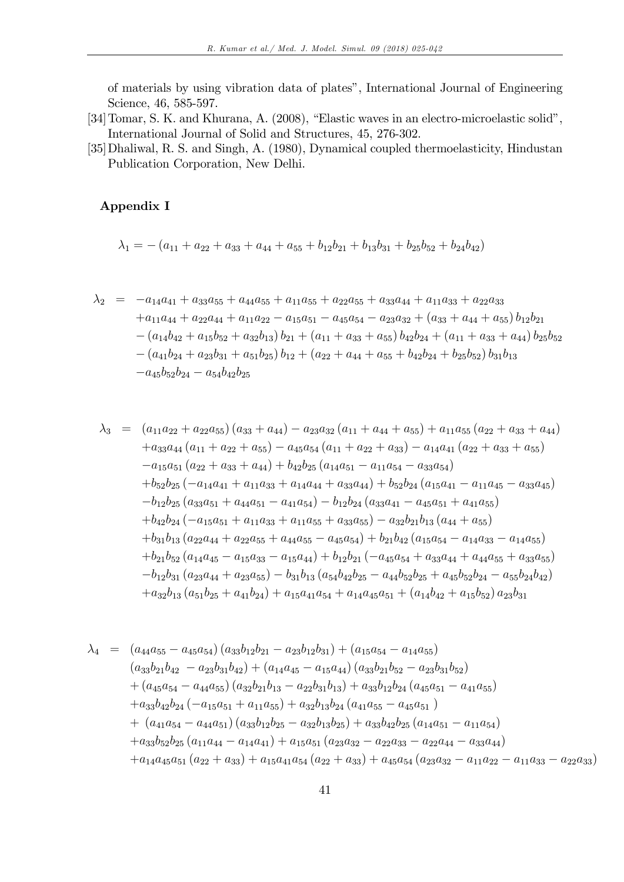of materials by using vibration data of plates", International Journal of Engineering Science, 46, 585-597.

- [34] Tomar, S. K. and Khurana, A. (2008), "Elastic waves in an electro-microelastic solid", International Journal of Solid and Structures, 45, 276-302.
- [35] Dhaliwal, R. S. and Singh, A. (1980), Dynamical coupled thermoelasticity, Hindustan Publication Corporation, New Delhi.

## Appendix I

$$
\lambda_1 = - (a_{11} + a_{22} + a_{33} + a_{44} + a_{55} + b_{12}b_{21} + b_{13}b_{31} + b_{25}b_{52} + b_{24}b_{42})
$$

$$
\lambda_2 = -a_{14}a_{41} + a_{33}a_{55} + a_{44}a_{55} + a_{11}a_{55} + a_{22}a_{55} + a_{33}a_{44} + a_{11}a_{33} + a_{22}a_{33} \n+ a_{11}a_{44} + a_{22}a_{44} + a_{11}a_{22} - a_{15}a_{51} - a_{45}a_{54} - a_{23}a_{32} + (a_{33} + a_{44} + a_{55})b_{12}b_{21} \n- (a_{14}b_{42} + a_{15}b_{52} + a_{32}b_{13})b_{21} + (a_{11} + a_{33} + a_{55})b_{42}b_{24} + (a_{11} + a_{33} + a_{44})b_{25}b_{52} \n- (a_{41}b_{24} + a_{23}b_{31} + a_{51}b_{25})b_{12} + (a_{22} + a_{44} + a_{55} + b_{42}b_{24} + b_{25}b_{52})b_{31}b_{13} \n- a_{45}b_{52}b_{24} - a_{54}b_{42}b_{25}
$$

$$
\lambda_{3} = (a_{11}a_{22} + a_{22}a_{55})(a_{33} + a_{44}) - a_{23}a_{32}(a_{11} + a_{44} + a_{55}) + a_{11}a_{55}(a_{22} + a_{33} + a_{44})
$$
  
\n
$$
+ a_{33}a_{44}(a_{11} + a_{22} + a_{55}) - a_{45}a_{54}(a_{11} + a_{22} + a_{33}) - a_{14}a_{41}(a_{22} + a_{33} + a_{55})
$$
  
\n
$$
- a_{15}a_{51}(a_{22} + a_{33} + a_{44}) + b_{42}b_{25}(a_{14}a_{51} - a_{11}a_{54} - a_{33}a_{54})
$$
  
\n
$$
+ b_{52}b_{25}(-a_{14}a_{41} + a_{11}a_{33} + a_{14}a_{44} + a_{33}a_{44}) + b_{52}b_{24}(a_{15}a_{41} - a_{11}a_{45} - a_{33}a_{45})
$$
  
\n
$$
- b_{12}b_{25}(a_{33}a_{51} + a_{44}a_{51} - a_{41}a_{54}) - b_{12}b_{24}(a_{33}a_{41} - a_{45}a_{51} + a_{41}a_{55})
$$
  
\n
$$
+ b_{42}b_{24}(-a_{15}a_{51} + a_{11}a_{33} + a_{11}a_{55} + a_{33}a_{55}) - a_{32}b_{21}b_{13}(a_{44} + a_{55})
$$
  
\n
$$
+ b_{31}b_{13}(a_{22}a_{44} + a_{22}a_{55} + a_{44}a_{55} - a_{45}a_{54}) + b_{21}b_{42}(a_{15}a_{54} - a_{14}a_{33} - a_{14}a_{55})
$$
  
\n
$$
+ b_{21}b_{52}(a_{14}a_{45} - a_{15}a_{33} - a_{15}a_{44}) + b_{12}b_{21}(-a_{45}a_{5
$$

$$
\lambda_4 = (a_{44}a_{55} - a_{45}a_{54})(a_{33}b_{12}b_{21} - a_{23}b_{12}b_{31}) + (a_{15}a_{54} - a_{14}a_{55})
$$
  
\n
$$
(a_{33}b_{21}b_{42} - a_{23}b_{31}b_{42}) + (a_{14}a_{45} - a_{15}a_{44})(a_{33}b_{21}b_{52} - a_{23}b_{31}b_{52})
$$
  
\n
$$
+ (a_{45}a_{54} - a_{44}a_{55})(a_{32}b_{21}b_{13} - a_{22}b_{31}b_{13}) + a_{33}b_{12}b_{24}(a_{45}a_{51} - a_{41}a_{55})
$$
  
\n
$$
+ a_{33}b_{42}b_{24}(-a_{15}a_{51} + a_{11}a_{55}) + a_{32}b_{13}b_{24}(a_{41}a_{55} - a_{45}a_{51})
$$
  
\n
$$
+ (a_{41}a_{54} - a_{44}a_{51})(a_{33}b_{12}b_{25} - a_{32}b_{13}b_{25}) + a_{33}b_{42}b_{25}(a_{14}a_{51} - a_{11}a_{54})
$$
  
\n
$$
+ a_{33}b_{52}b_{25}(a_{11}a_{44} - a_{14}a_{41}) + a_{15}a_{51}(a_{23}a_{32} - a_{22}a_{33} - a_{22}a_{44} - a_{33}a_{44})
$$
  
\n
$$
+ a_{14}a_{45}a_{51}(a_{22} + a_{33}) + a_{15}a_{41}a_{54}(a_{22} + a_{33}) + a_{45}a_{54}(a_{23}a_{32} - a_{11}a_{22} - a_{11}a_{33} - a_{22}a_{33})
$$